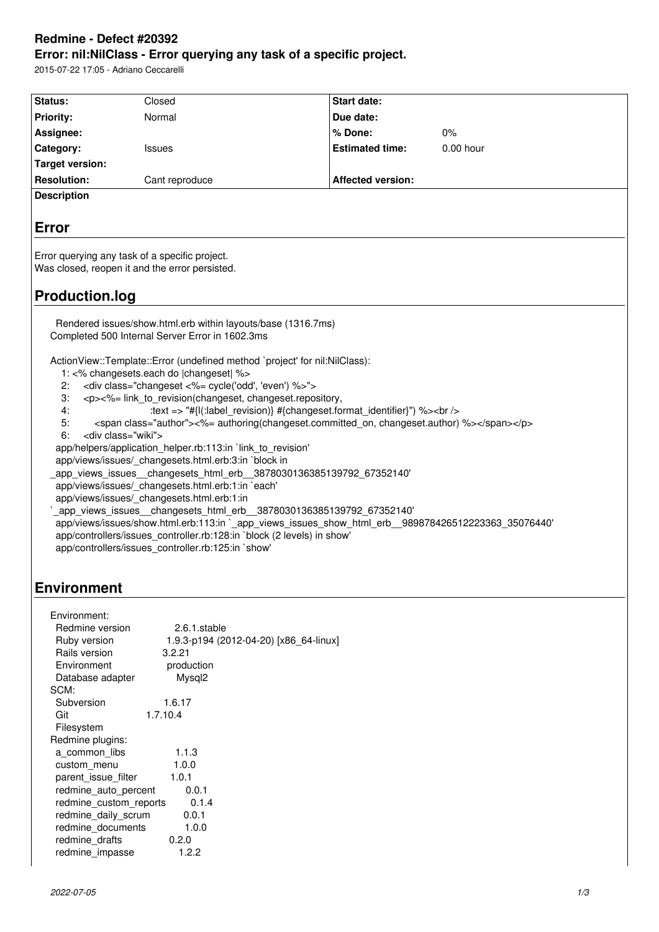# **Redmine - Defect #20392**

**Error: nil:NilClass - Error querying any task of a specific project.**

2015-07-22 17:05 - Adriano Ceccarelli

| Status:                                                                                                                                                                             | Closed                                                                | <b>Start date:</b>       |             |  |
|-------------------------------------------------------------------------------------------------------------------------------------------------------------------------------------|-----------------------------------------------------------------------|--------------------------|-------------|--|
| <b>Priority:</b>                                                                                                                                                                    | Normal                                                                | Due date:                |             |  |
| Assignee:                                                                                                                                                                           |                                                                       | % Done:                  | 0%          |  |
| Category:                                                                                                                                                                           | <b>Issues</b>                                                         | <b>Estimated time:</b>   | $0.00$ hour |  |
| <b>Target version:</b>                                                                                                                                                              |                                                                       |                          |             |  |
| <b>Resolution:</b>                                                                                                                                                                  | Cant reproduce                                                        | <b>Affected version:</b> |             |  |
| <b>Description</b>                                                                                                                                                                  |                                                                       |                          |             |  |
|                                                                                                                                                                                     |                                                                       |                          |             |  |
| <b>Error</b>                                                                                                                                                                        |                                                                       |                          |             |  |
|                                                                                                                                                                                     |                                                                       |                          |             |  |
| Error querying any task of a specific project.                                                                                                                                      |                                                                       |                          |             |  |
| Was closed, reopen it and the error persisted.                                                                                                                                      |                                                                       |                          |             |  |
|                                                                                                                                                                                     |                                                                       |                          |             |  |
| <b>Production.log</b>                                                                                                                                                               |                                                                       |                          |             |  |
|                                                                                                                                                                                     |                                                                       |                          |             |  |
| Rendered issues/show.html.erb within layouts/base (1316.7ms)<br>Completed 500 Internal Server Error in 1602.3ms                                                                     |                                                                       |                          |             |  |
|                                                                                                                                                                                     |                                                                       |                          |             |  |
| ActionView::Template::Error (undefined method `project' for nil:NilClass):                                                                                                          |                                                                       |                          |             |  |
| 1: <% changesets.each do  changeset  %>                                                                                                                                             |                                                                       |                          |             |  |
| <div class="changeset &lt;%= cycle('odd', 'even') %&gt;"><br/>2:</div>                                                                                                              |                                                                       |                          |             |  |
| 3:<br><p>&lt;%= link_to_revision(changeset, changeset.repository,</p>                                                                                                               |                                                                       |                          |             |  |
| 4:<br>:text => "#{I(:label_revision)} #{changeset.format_identifier}") %><br><br><span class="author">&lt;%= authoring(changeset.committed on, changeset.author) %&gt;</span><br>5: |                                                                       |                          |             |  |
| <div class="wiki"><br/>6:</div>                                                                                                                                                     |                                                                       |                          |             |  |
| app/helpers/application helper.rb:113:in link to revision'                                                                                                                          |                                                                       |                          |             |  |
| app/views/issues/_changesets.html.erb:3:in `block in                                                                                                                                |                                                                       |                          |             |  |
|                                                                                                                                                                                     | _app_views_issues__changesets_html_erb__3878030136385139792_67352140' |                          |             |  |
|                                                                                                                                                                                     | app/views/issues/ changesets.html.erb:1:in `each'                     |                          |             |  |
|                                                                                                                                                                                     | app/views/issues/ changesets.html.erb:1:in                            |                          |             |  |
|                                                                                                                                                                                     | _app_views_issues__changesets_html_erb__3878030136385139792_67352140' |                          |             |  |
| app/views/issues/show.html.erb:113:in `_app_views_issues_show_html_erb_989878426512223363_35076440'<br>app/controllers/issues_controller.rb:128:in `block (2 levels) in show'       |                                                                       |                          |             |  |
| app/controllers/issues controller.rb:125:in `show'                                                                                                                                  |                                                                       |                          |             |  |
|                                                                                                                                                                                     |                                                                       |                          |             |  |
|                                                                                                                                                                                     |                                                                       |                          |             |  |
| <b>Environment</b>                                                                                                                                                                  |                                                                       |                          |             |  |

| Environment:           |                                        |
|------------------------|----------------------------------------|
| Redmine version        | 2.6.1.stable                           |
| Ruby version           | 1.9.3-p194 (2012-04-20) [x86 64-linux] |
| Rails version          | 3.2.21                                 |
| Environment            | production                             |
| Database adapter       | Mysql <sub>2</sub>                     |
| SCM:                   |                                        |
| Subversion             | 1.6.17                                 |
| Git                    | 1.7.10.4                               |
| Filesystem             |                                        |
| Redmine plugins:       |                                        |
| a common libs          | 1.1.3                                  |
| custom menu            | 1.0.0                                  |
| parent_issue_filter    | 1.0.1                                  |
| redmine_auto_percent   | 0.0.1                                  |
| redmine custom reports | 0.1.4                                  |
| redmine daily scrum    | 0.0.1                                  |
| redmine documents      | 1.0.0                                  |
| redmine drafts         | 0.2.0                                  |
| redmine_impasse        | 1.2.2                                  |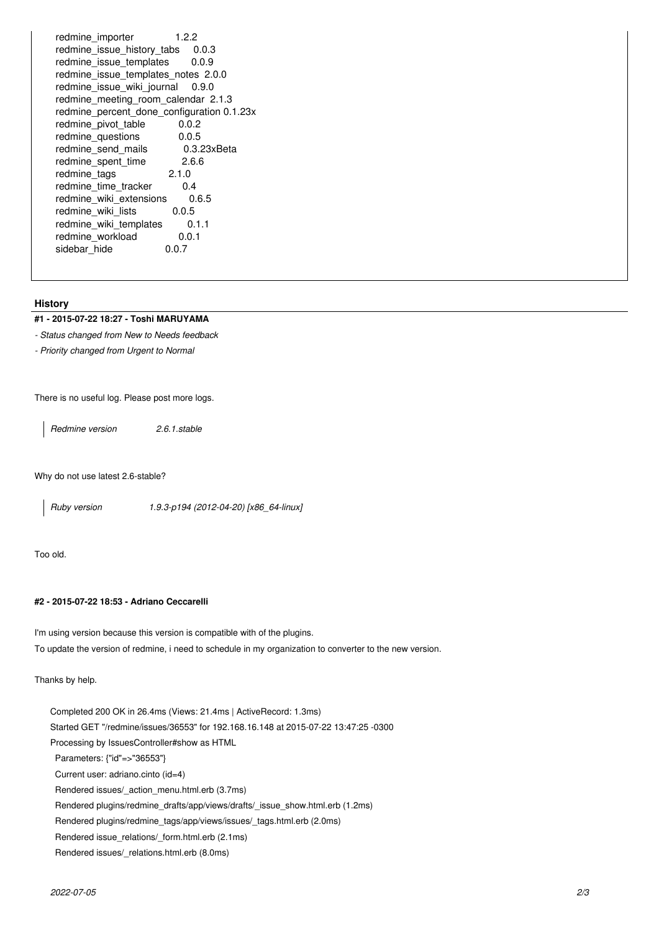redmine\_importer 1.2.2 redmine\_issue\_history\_tabs 0.0.3 redmine issue templates 0.0.9 redmine\_issue\_templates\_notes 2.0.0 redmine issue wiki journal 0.9.0 redmine meeting room calendar 2.1.3 redmine\_percent\_done\_configuration 0.1.23x redmine\_pivot\_table 0.0.2 redmine\_questions 0.0.5 redmine\_send\_mails 0.3.23xBeta redmine\_spent\_time 2.6.6 redmine\_tags 2.1.0 redmine\_time\_tracker 0.4 redmine\_wiki\_extensions 0.6.5<br>redmine\_wiki\_lists 0.0.5 redmine\_wiki\_lists redmine\_wiki\_templates 0.1.1<br>redmine workload 0.0.1 redmine\_workload 0.<br>sidebar hide 0.0.7 sidebar hide

## **History**

## **#1 - 2015-07-22 18:27 - Toshi MARUYAMA**

*- Status changed from New to Needs feedback*

*- Priority changed from Urgent to Normal*

There is no useful log. Please post more logs.

*Redmine version 2.6.1.stable*

Why do not use latest 2.6-stable?

*Ruby version 1.9.3-p194 (2012-04-20) [x86\_64-linux]*

Too old.

# **#2 - 2015-07-22 18:53 - Adriano Ceccarelli**

I'm using version because this version is compatible with of the plugins. To update the version of redmine, i need to schedule in my organization to converter to the new version.

Thanks by help.

Completed 200 OK in 26.4ms (Views: 21.4ms | ActiveRecord: 1.3ms) Started GET "/redmine/issues/36553" for 192.168.16.148 at 2015-07-22 13:47:25 -0300 Processing by IssuesController#show as HTML Parameters: {"id"=>"36553"} Current user: adriano.cinto (id=4) Rendered issues/\_action\_menu.html.erb (3.7ms) Rendered plugins/redmine\_drafts/app/views/drafts/\_issue\_show.html.erb (1.2ms) Rendered plugins/redmine\_tags/app/views/issues/\_tags.html.erb (2.0ms) Rendered issue\_relations/\_form.html.erb (2.1ms) Rendered issues/\_relations.html.erb (8.0ms)